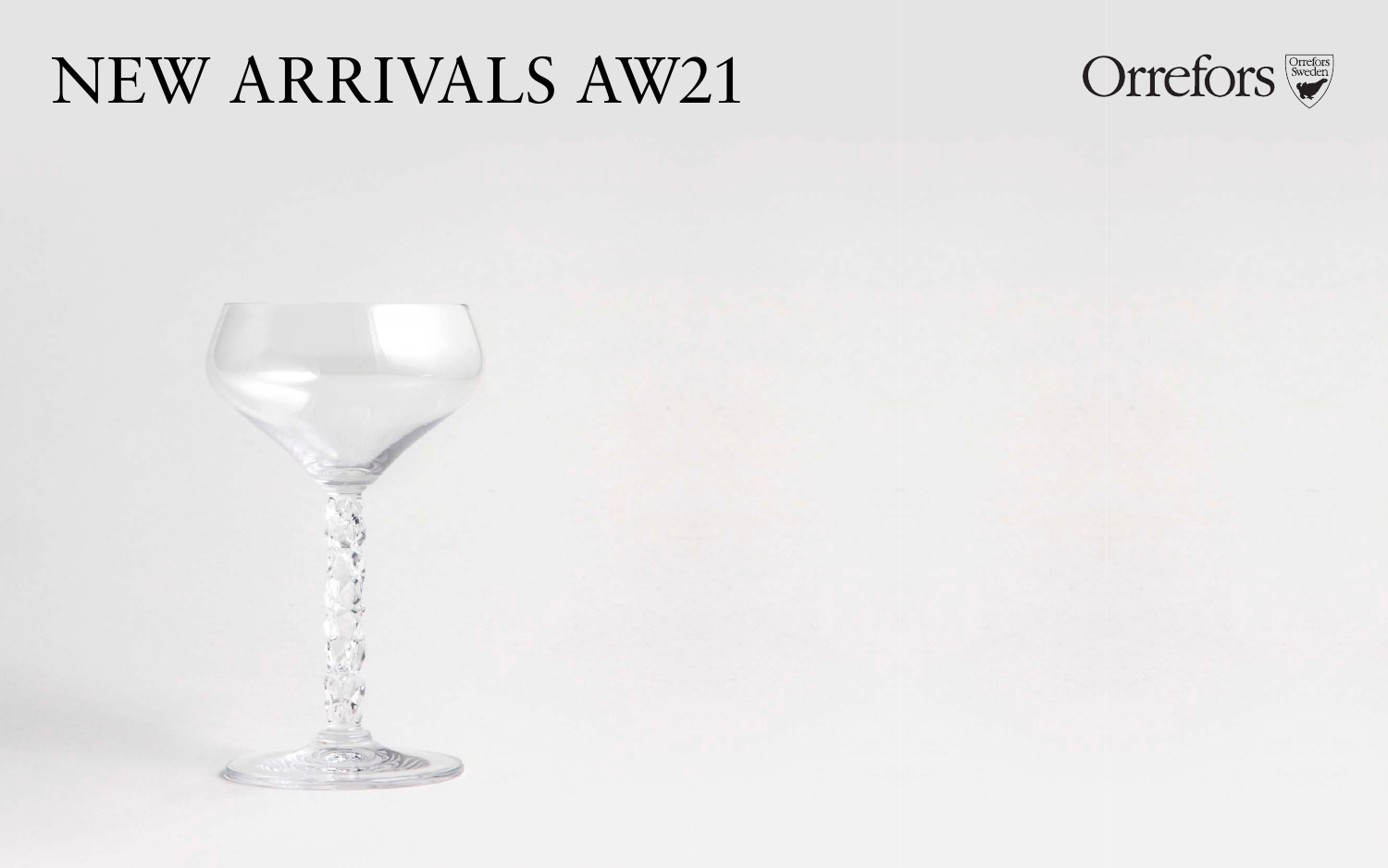# NEW ARRIVALS AW21





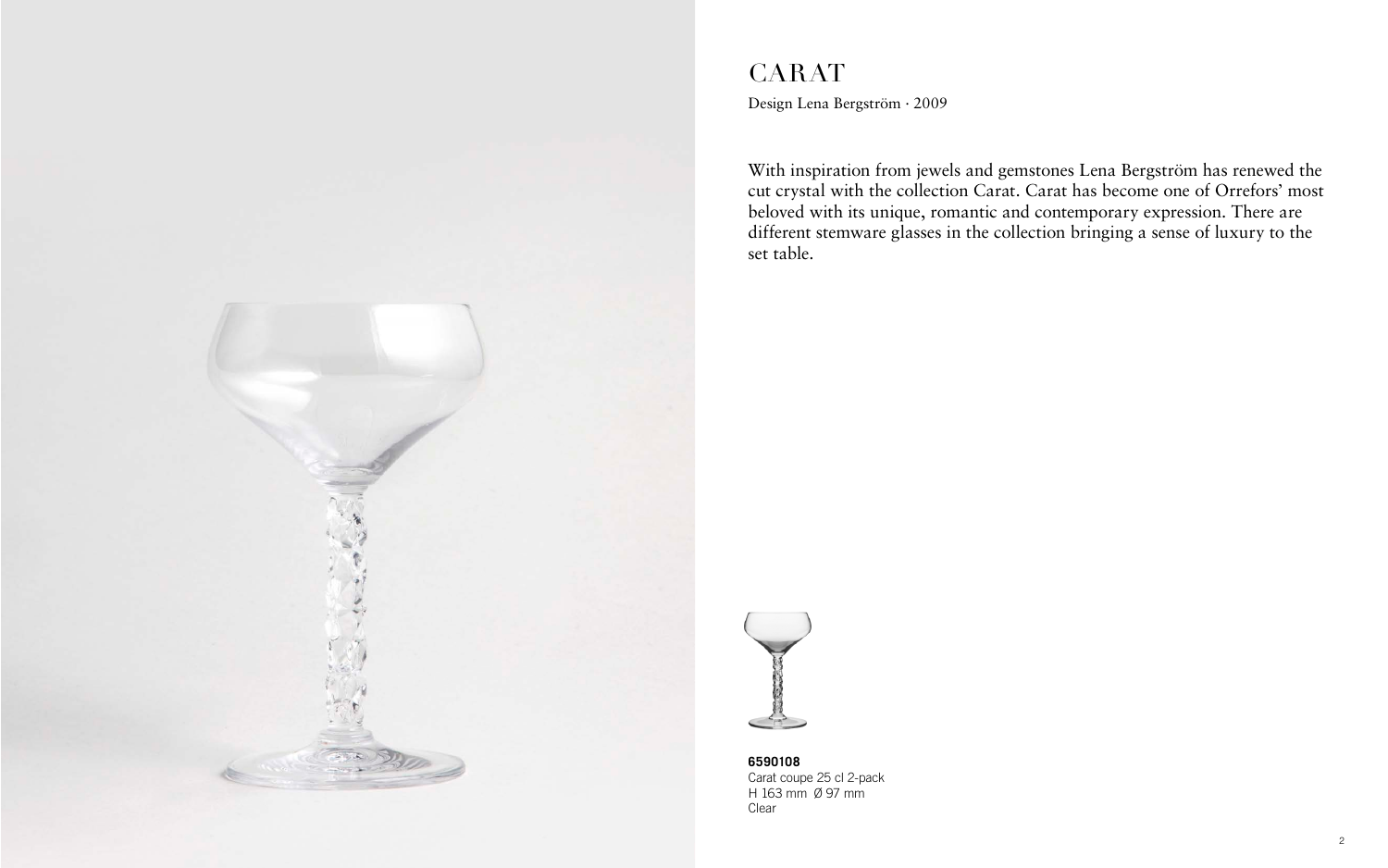

## CARAT Design Lena Bergström · 2009

With inspiration from jewels and gemstones Lena Bergström has renewed the cut crystal with the collection Carat. Carat has become one of Orrefors' most beloved with its unique, romantic and contemporary expression. There are different stemware glasses in the collection bringing a sense of luxury to the set table.



**6590108** Carat coupe 25 cl 2-pack H 163 mm Ø 97 mm Clear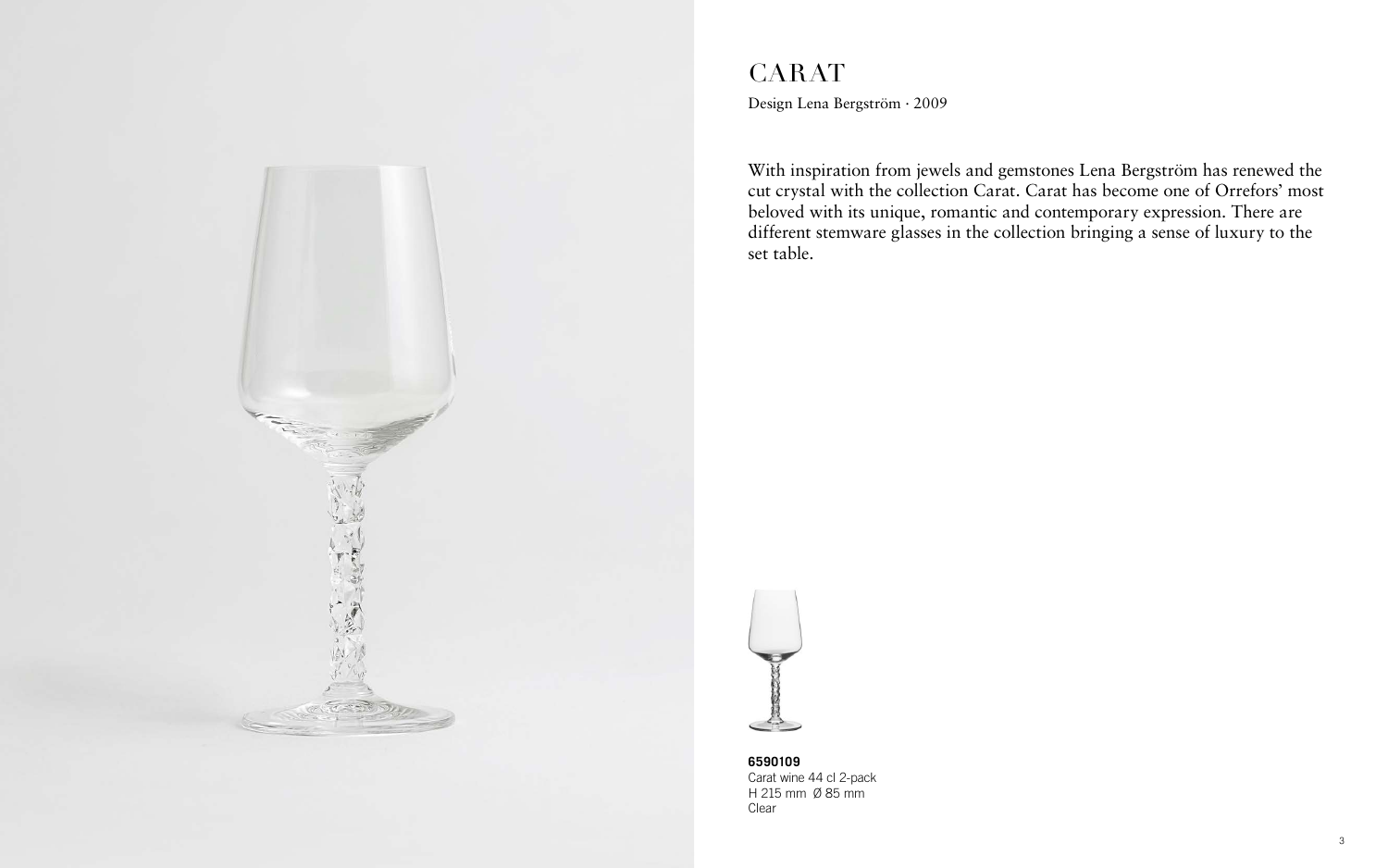#### CARAT Design Lena Bergström · 2009

With inspiration from jewels and gemstones Lena Bergström has renewed the cut crystal with the collection Carat. Carat has become one of Orrefors' most beloved with its unique, romantic and contemporary expression. There are different stemware glasses in the collection bringing a sense of luxury to the set table.



**6590109** Carat wine 44 cl 2-pack H 215 mm Ø 85 mm Clear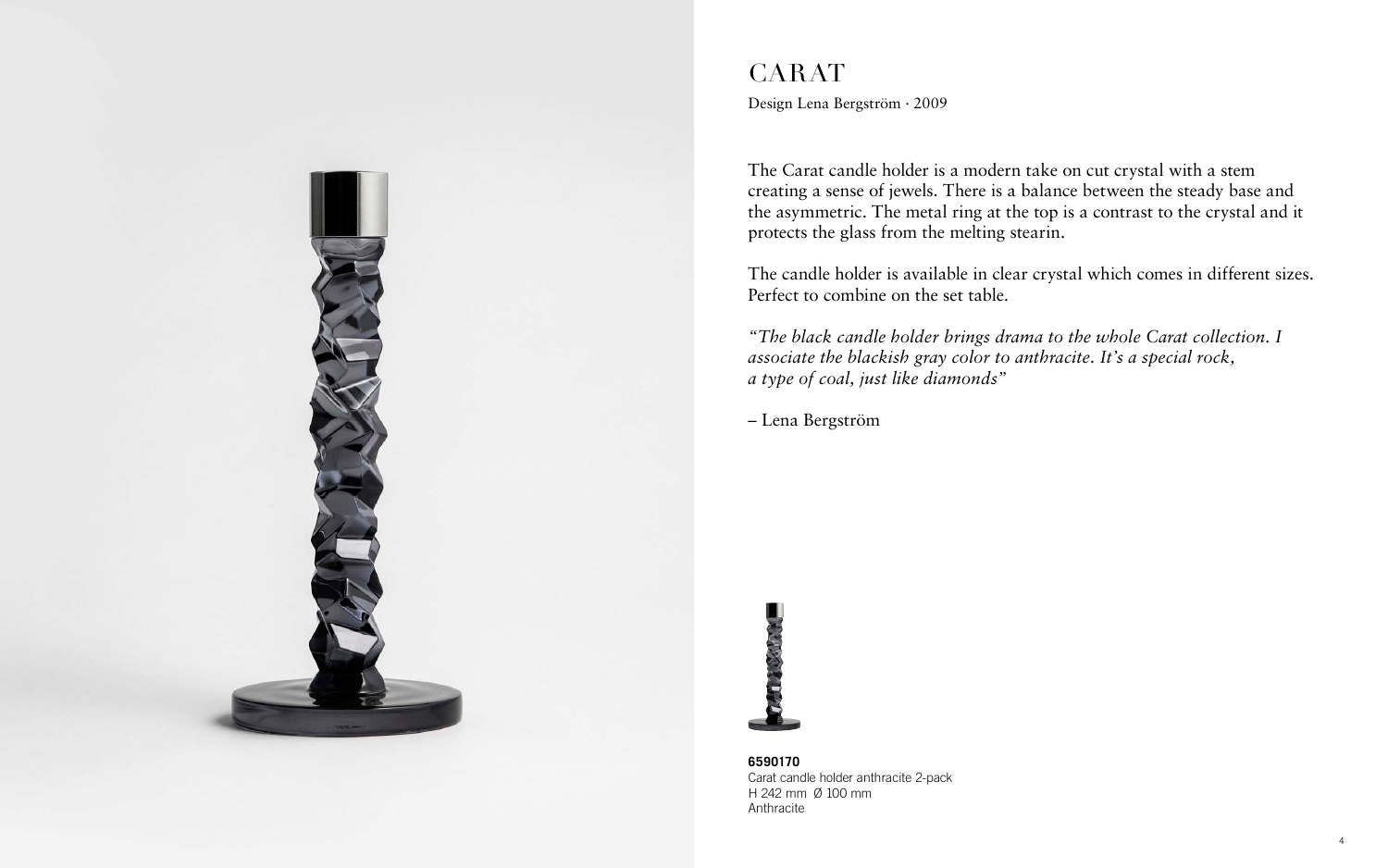

#### CARAT Design Lena Bergström · 2009

The Carat candle holder is a modern take on cut crystal with a stem creating a sense of jewels. There is a balance between the steady base and the asymmetric. The metal ring at the top is a contrast to the crystal and it protects the glass from the melting stearin.

The candle holder is available in clear crystal which comes in different sizes. Perfect to combine on the set table.

*"The black candle holder brings drama to the whole Carat collection. I associate the blackish gray color to anthracite. It's a special rock, a type of coal, just like diamonds"*

– Lena Bergström



**6590170** Carat candle holder anthracite 2-pack H 242 mm Ø 100 mm Anthracite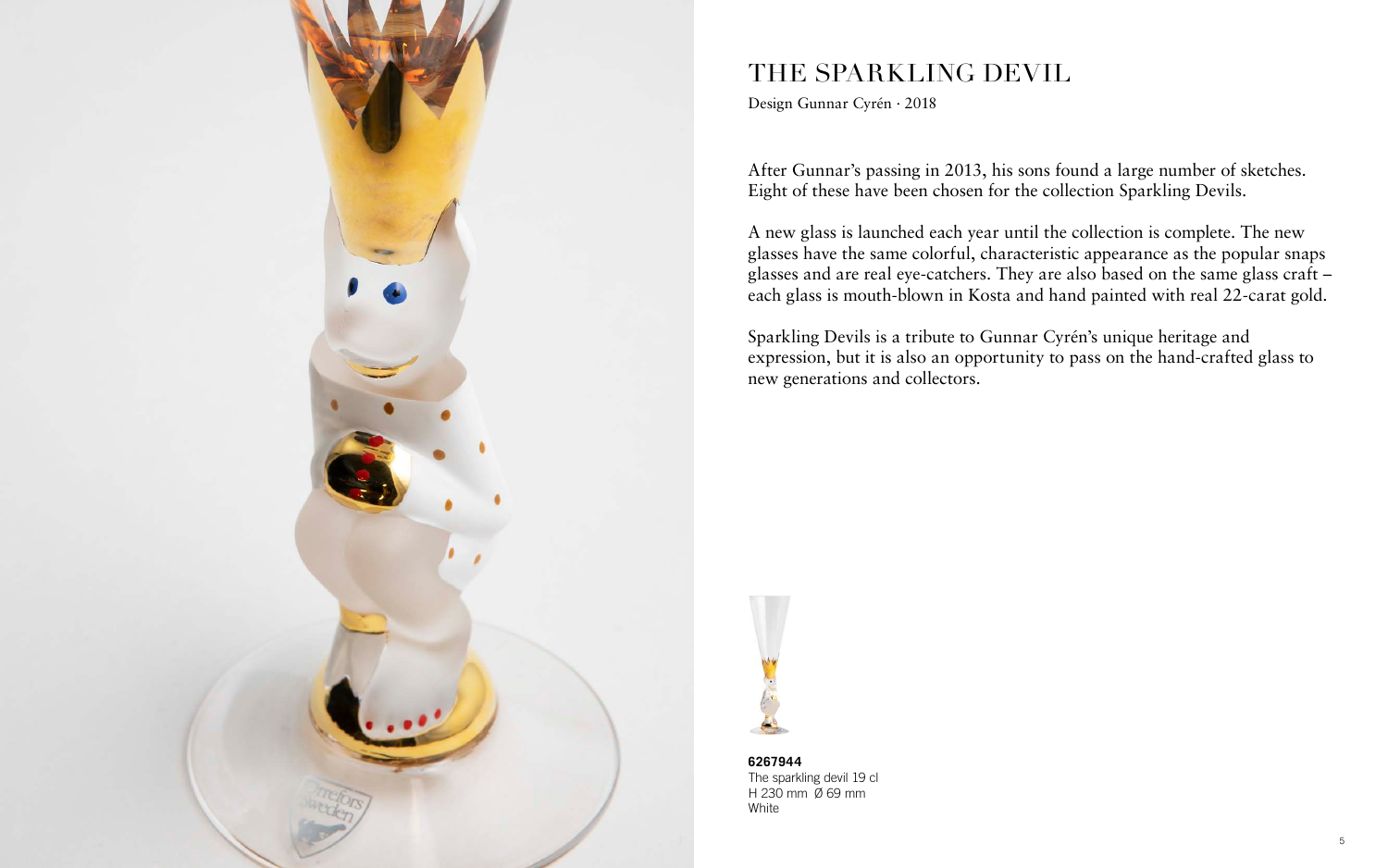

## THE SPARKLING DEVIL

Design Gunnar Cyrén · 2018

After Gunnar's passing in 2013, his sons found a large number of sketches. Eight of these have been chosen for the collection Sparkling Devils.

A new glass is launched each year until the collection is complete. The new glasses have the same colorful, characteristic appearance as the popular snaps glasses and are real eye-catchers. They are also based on the same glass craft – each glass is mouth-blown in Kosta and hand painted with real 22-carat gold.

Sparkling Devils is a tribute to Gunnar Cyrén's unique heritage and expression, but it is also an opportunity to pass on the hand-crafted glass to new generations and collectors.



**6267944** The sparkling devil 19 cl H 230 mm Ø 69 mm White